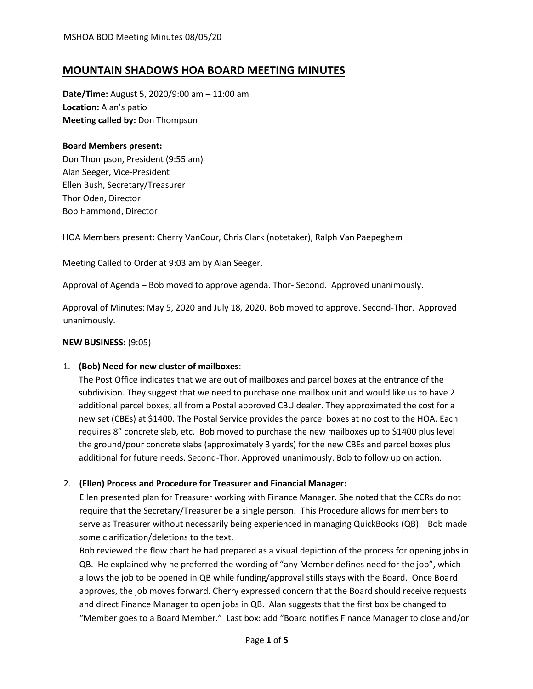# **MOUNTAIN SHADOWS HOA BOARD MEETING MINUTES**

**Date/Time:** August 5, 2020/9:00 am – 11:00 am **Location:** Alan's patio **Meeting called by:** Don Thompson

#### **Board Members present:**

Don Thompson, President (9:55 am) Alan Seeger, Vice-President Ellen Bush, Secretary/Treasurer Thor Oden, Director Bob Hammond, Director

HOA Members present: Cherry VanCour, Chris Clark (notetaker), Ralph Van Paepeghem

Meeting Called to Order at 9:03 am by Alan Seeger.

Approval of Agenda – Bob moved to approve agenda. Thor- Second. Approved unanimously.

Approval of Minutes: May 5, 2020 and July 18, 2020. Bob moved to approve. Second-Thor. Approved unanimously.

#### **NEW BUSINESS:** (9:05)

### 1. **(Bob) Need for new cluster of mailboxes**:

The Post Office indicates that we are out of mailboxes and parcel boxes at the entrance of the subdivision. They suggest that we need to purchase one mailbox unit and would like us to have 2 additional parcel boxes, all from a Postal approved CBU dealer. They approximated the cost for a new set (CBEs) at \$1400. The Postal Service provides the parcel boxes at no cost to the HOA. Each requires 8" concrete slab, etc. Bob moved to purchase the new mailboxes up to \$1400 plus level the ground/pour concrete slabs (approximately 3 yards) for the new CBEs and parcel boxes plus additional for future needs. Second-Thor. Approved unanimously. Bob to follow up on action.

### 2. **(Ellen) Process and Procedure for Treasurer and Financial Manager:**

Ellen presented plan for Treasurer working with Finance Manager. She noted that the CCRs do not require that the Secretary/Treasurer be a single person. This Procedure allows for members to serve as Treasurer without necessarily being experienced in managing QuickBooks (QB). Bob made some clarification/deletions to the text.

Bob reviewed the flow chart he had prepared as a visual depiction of the process for opening jobs in QB. He explained why he preferred the wording of "any Member defines need for the job", which allows the job to be opened in QB while funding/approval stills stays with the Board. Once Board approves, the job moves forward. Cherry expressed concern that the Board should receive requests and direct Finance Manager to open jobs in QB. Alan suggests that the first box be changed to "Member goes to a Board Member." Last box: add "Board notifies Finance Manager to close and/or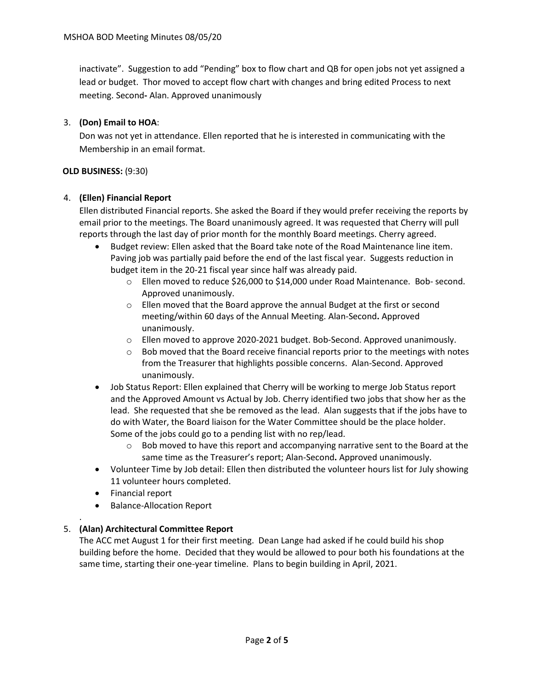inactivate". Suggestion to add "Pending" box to flow chart and QB for open jobs not yet assigned a lead or budget. Thor moved to accept flow chart with changes and bring edited Process to next meeting. Second**-** Alan. Approved unanimously

## 3. **(Don) Email to HOA**:

Don was not yet in attendance. Ellen reported that he is interested in communicating with the Membership in an email format.

#### **OLD BUSINESS:** (9:30)

### 4. **(Ellen) Financial Report**

Ellen distributed Financial reports. She asked the Board if they would prefer receiving the reports by email prior to the meetings. The Board unanimously agreed. It was requested that Cherry will pull reports through the last day of prior month for the monthly Board meetings. Cherry agreed.

- Budget review: Ellen asked that the Board take note of the Road Maintenance line item. Paving job was partially paid before the end of the last fiscal year. Suggests reduction in budget item in the 20-21 fiscal year since half was already paid.
	- o Ellen moved to reduce \$26,000 to \$14,000 under Road Maintenance. Bob- second. Approved unanimously.
	- $\circ$  Ellen moved that the Board approve the annual Budget at the first or second meeting/within 60 days of the Annual Meeting. Alan-Second**.** Approved unanimously.
	- o Ellen moved to approve 2020-2021 budget. Bob-Second. Approved unanimously.
	- $\circ$  Bob moved that the Board receive financial reports prior to the meetings with notes from the Treasurer that highlights possible concerns. Alan-Second. Approved unanimously.
- Job Status Report: Ellen explained that Cherry will be working to merge Job Status report and the Approved Amount vs Actual by Job. Cherry identified two jobs that show her as the lead. She requested that she be removed as the lead. Alan suggests that if the jobs have to do with Water, the Board liaison for the Water Committee should be the place holder. Some of the jobs could go to a pending list with no rep/lead.
	- $\circ$  Bob moved to have this report and accompanying narrative sent to the Board at the same time as the Treasurer's report; Alan-Second**.** Approved unanimously.
- Volunteer Time by Job detail: Ellen then distributed the volunteer hours list for July showing 11 volunteer hours completed.
- Financial report

.

• Balance-Allocation Report

### 5. **(Alan) Architectural Committee Report**

The ACC met August 1 for their first meeting. Dean Lange had asked if he could build his shop building before the home. Decided that they would be allowed to pour both his foundations at the same time, starting their one-year timeline. Plans to begin building in April, 2021.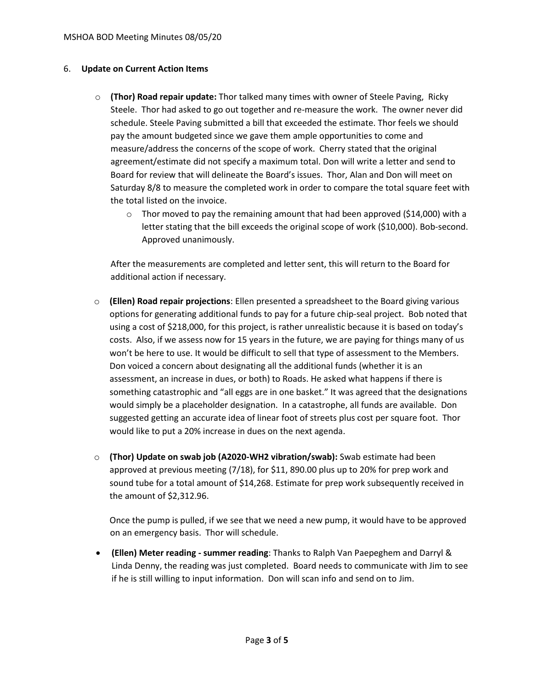#### 6. **Update on Current Action Items**

- o **(Thor) Road repair update:** Thor talked many times with owner of Steele Paving, Ricky Steele. Thor had asked to go out together and re-measure the work. The owner never did schedule. Steele Paving submitted a bill that exceeded the estimate. Thor feels we should pay the amount budgeted since we gave them ample opportunities to come and measure/address the concerns of the scope of work. Cherry stated that the original agreement/estimate did not specify a maximum total. Don will write a letter and send to Board for review that will delineate the Board's issues. Thor, Alan and Don will meet on Saturday 8/8 to measure the completed work in order to compare the total square feet with the total listed on the invoice.
	- $\circ$  Thor moved to pay the remaining amount that had been approved (\$14,000) with a letter stating that the bill exceeds the original scope of work (\$10,000). Bob-second. Approved unanimously.

After the measurements are completed and letter sent, this will return to the Board for additional action if necessary.

- o **(Ellen) Road repair projections**: Ellen presented a spreadsheet to the Board giving various options for generating additional funds to pay for a future chip-seal project. Bob noted that using a cost of \$218,000, for this project, is rather unrealistic because it is based on today's costs. Also, if we assess now for 15 years in the future, we are paying for things many of us won't be here to use. It would be difficult to sell that type of assessment to the Members. Don voiced a concern about designating all the additional funds (whether it is an assessment, an increase in dues, or both) to Roads. He asked what happens if there is something catastrophic and "all eggs are in one basket." It was agreed that the designations would simply be a placeholder designation. In a catastrophe, all funds are available. Don suggested getting an accurate idea of linear foot of streets plus cost per square foot. Thor would like to put a 20% increase in dues on the next agenda.
- o **(Thor) Update on swab job (A2020-WH2 vibration/swab):** Swab estimate had been approved at previous meeting (7/18), for \$11, 890.00 plus up to 20% for prep work and sound tube for a total amount of \$14,268. Estimate for prep work subsequently received in the amount of \$2,312.96.

Once the pump is pulled, if we see that we need a new pump, it would have to be approved on an emergency basis. Thor will schedule.

• **(Ellen) Meter reading - summer reading**: Thanks to Ralph Van Paepeghem and Darryl & Linda Denny, the reading was just completed. Board needs to communicate with Jim to see if he is still willing to input information. Don will scan info and send on to Jim.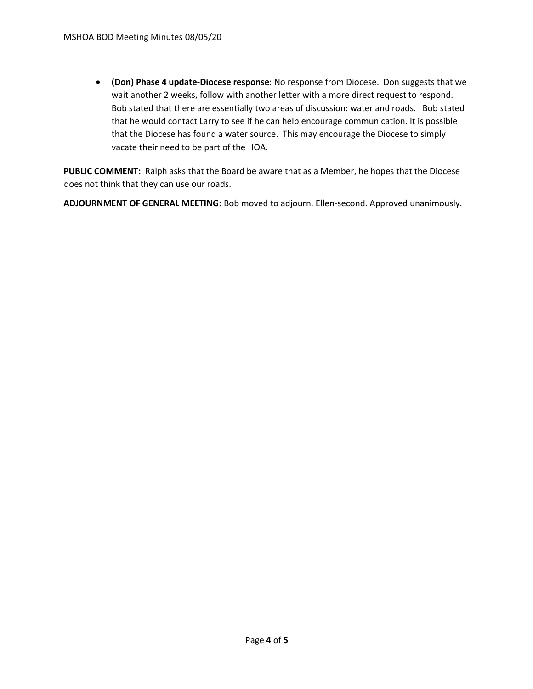• **(Don) Phase 4 update-Diocese response**: No response from Diocese. Don suggests that we wait another 2 weeks, follow with another letter with a more direct request to respond. Bob stated that there are essentially two areas of discussion: water and roads. Bob stated that he would contact Larry to see if he can help encourage communication. It is possible that the Diocese has found a water source. This may encourage the Diocese to simply vacate their need to be part of the HOA.

**PUBLIC COMMENT:** Ralph asks that the Board be aware that as a Member, he hopes that the Diocese does not think that they can use our roads.

**ADJOURNMENT OF GENERAL MEETING:** Bob moved to adjourn. Ellen-second. Approved unanimously.